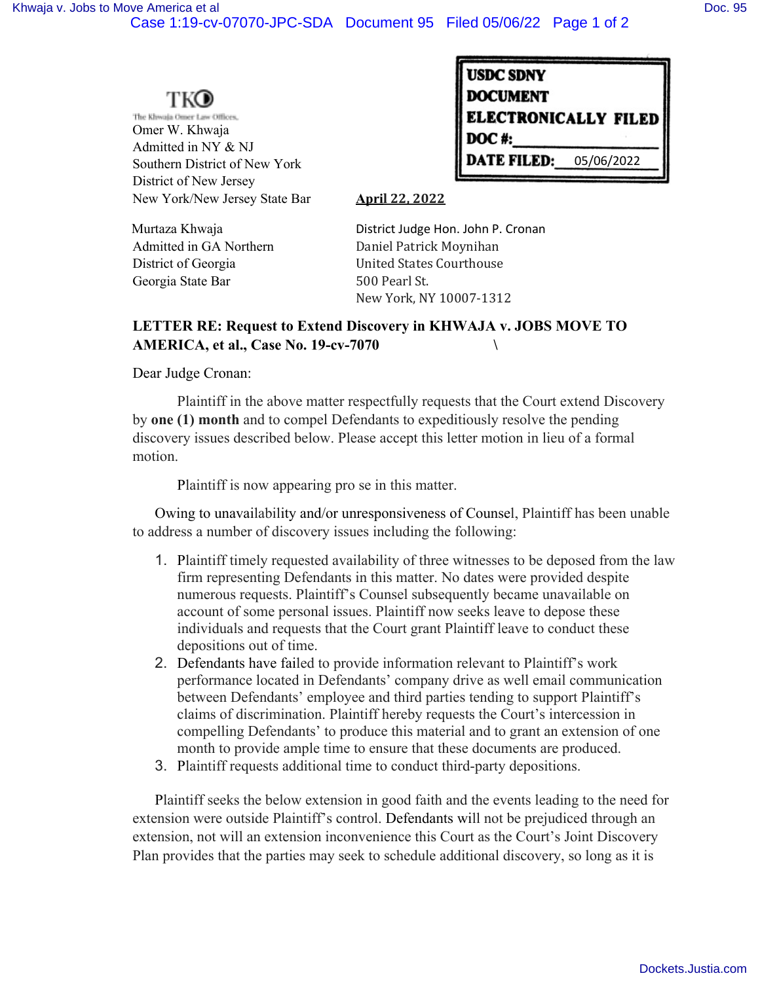## TKO

The Khwaja Omer Law Offices, Omer W. Khwaja Admitted in NY & NJ Southern District of New York District of New Jersey New York/New Jersey State Bar **April 22, 2022** 

| <b>USDC SDNY</b>            |            |
|-----------------------------|------------|
| <b>DOCUMENT</b>             |            |
| <b>ELECTRONICALLY FILED</b> |            |
| DOC#:                       |            |
| <b>DATE FILED:</b>          | 05/06/2022 |

Georgia State Bar 500 Pearl St.

Murtaza Khwaja **Murtaza Khwaja** District Judge Hon. John P. Cronan Admitted in GA Northern Daniel Patrick Moynihan District of Georgia **District of Georgia** United States Courthouse New York, NY 10007-1312

## **LETTER RE: Request to Extend Discovery in KHWAJA v. JOBS MOVE TO AMERICA, et al., Case No. 19-cv-7070 \**

Dear Judge Cronan:

Plaintiff in the above matter respectfully requests that the Court extend Discovery by **one (1) month** and to compel Defendants to expeditiously resolve the pending discovery issues described below. Please accept this letter motion in lieu of a formal motion.

Plaintiff is now appearing pro se in this matter.

Owing to unavailability and/or unresponsiveness of Counsel, Plaintiff has been unable to address a number of discovery issues including the following:

- 1. Plaintiff timely requested availability of three witnesses to be deposed from the law firm representing Defendants in this matter. No dates were provided despite numerous requests. Plaintiff's Counsel subsequently became unavailable on account of some personal issues. Plaintiff now seeks leave to depose these individuals and requests that the Court grant Plaintiff leave to conduct these depositions out of time.
- 2. Defendants have failed to provide information relevant to Plaintiff's work performance located in Defendants' company drive as well email communication between Defendants' employee and third parties tending to support Plaintiff's claims of discrimination. Plaintiff hereby requests the Court's intercession in compelling Defendants' to produce this material and to grant an extension of one month to provide ample time to ensure that these documents are produced.
- 3. Plaintiff requests additional time to conduct third-party depositions.

Plaintiff seeks the below extension in good faith and the events leading to the need for extension were outside Plaintiff's control. Defendants will not be prejudiced through an extension, not will an extension inconvenience this Court as the Court's Joint Discovery Plan provides that the parties may seek to schedule additional discovery, so long as it is